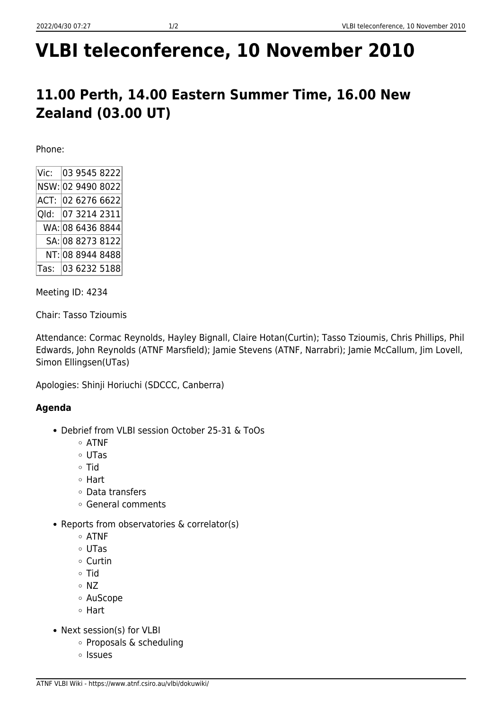# **VLBI teleconference, 10 November 2010**

## **11.00 Perth, 14.00 Eastern Summer Time, 16.00 New Zealand (03.00 UT)**

Phone:

Meeting ID: 4234

Chair: Tasso Tzioumis

Attendance: Cormac Reynolds, Hayley Bignall, Claire Hotan(Curtin); Tasso Tzioumis, Chris Phillips, Phil Edwards, John Reynolds (ATNF Marsfield); Jamie Stevens (ATNF, Narrabri); Jamie McCallum, Jim Lovell, Simon Ellingsen(UTas)

Apologies: Shinji Horiuchi (SDCCC, Canberra)

### **Agenda**

- Debrief from VLBI session October 25-31 & ToOs
	- $\circ$  ATNF
	- UTas
	- o Tid
	- Hart
	- Data transfers
	- General comments
- Reports from observatories & correlator(s)
	- ATNF
	- UTas
	- Curtin
	- Tid
	- $\circ$  NZ
	- AuScope
	- Hart
- Next session(s) for VLBI
	- Proposals & scheduling
	- o Issues